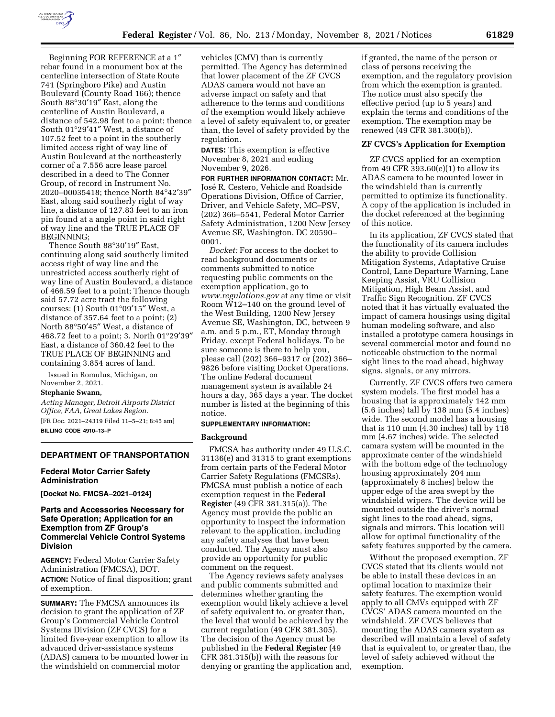

Beginning FOR REFERENCE at a 1″ rebar found in a monument box at the centerline intersection of State Route 741 (Springboro Pike) and Austin Boulevard (County Road 166); thence South 88°30′19″ East, along the centerline of Austin Boulevard, a distance of 542.98 feet to a point; thence South 01°29′41″ West, a distance of 107.52 feet to a point in the southerly limited access right of way line of Austin Boulevard at the northeasterly corner of a 7.556 acre lease parcel described in a deed to The Conner Group, of record in Instrument No. 2020–00035418; thence North 84°42′39″ East, along said southerly right of way line, a distance of 127.83 feet to an iron pin found at a angle point in said right of way line and the TRUE PLACE OF BEGINNING;

Thence South 88°30′19″ East, continuing along said southerly limited access right of way line and the unrestricted access southerly right of way line of Austin Boulevard, a distance of 466.59 feet to a point; Thence though said 57.72 acre tract the following courses: (1) South 01°09′15″ West, a distance of 357.64 feet to a point; (2) North 88°50′45″ West, a distance of 468.72 feet to a point; 3. North 01°29′39″ East, a distance of 360.42 feet to the TRUE PLACE OF BEGINNING and containing 3.854 acres of land.

Issued in Romulus, Michigan, on November 2, 2021.

## **Stephanie Swann,**

*Acting Manager, Detroit Airports District Office, FAA, Great Lakes Region.*  [FR Doc. 2021–24319 Filed 11–5–21; 8:45 am] **BILLING CODE 4910–13–P** 

### **DEPARTMENT OF TRANSPORTATION**

### **Federal Motor Carrier Safety Administration**

**[Docket No. FMCSA–2021–0124]** 

## **Parts and Accessories Necessary for Safe Operation; Application for an Exemption from ZF Group's Commercial Vehicle Control Systems Division**

**AGENCY:** Federal Motor Carrier Safety Administration (FMCSA), DOT. **ACTION:** Notice of final disposition; grant of exemption.

**SUMMARY:** The FMCSA announces its decision to grant the application of ZF Group's Commercial Vehicle Control Systems Division (ZF CVCS) for a limited five-year exemption to allow its advanced driver-assistance systems (ADAS) camera to be mounted lower in the windshield on commercial motor

vehicles (CMV) than is currently permitted. The Agency has determined that lower placement of the ZF CVCS ADAS camera would not have an adverse impact on safety and that adherence to the terms and conditions of the exemption would likely achieve a level of safety equivalent to, or greater than, the level of safety provided by the regulation.

**DATES:** This exemption is effective November 8, 2021 and ending November 9, 2026.

**FOR FURTHER INFORMATION CONTACT:** Mr. José R. Cestero, Vehicle and Roadside Operations Division, Office of Carrier, Driver, and Vehicle Safety, MC–PSV, (202) 366–5541, Federal Motor Carrier Safety Administration, 1200 New Jersey Avenue SE, Washington, DC 20590– 0001.

*Docket:* For access to the docket to read background documents or comments submitted to notice requesting public comments on the exemption application, go to *[www.regulations.gov](http://www.regulations.gov)* at any time or visit Room W12–140 on the ground level of the West Building, 1200 New Jersey Avenue SE, Washington, DC, between 9 a.m. and 5 p.m., ET, Monday through Friday, except Federal holidays. To be sure someone is there to help you, please call (202) 366–9317 or (202) 366– 9826 before visiting Docket Operations. The online Federal document management system is available 24 hours a day, 365 days a year. The docket number is listed at the beginning of this notice.

#### **SUPPLEMENTARY INFORMATION:**

#### **Background**

FMCSA has authority under 49 U.S.C. 31136(e) and 31315 to grant exemptions from certain parts of the Federal Motor Carrier Safety Regulations (FMCSRs). FMCSA must publish a notice of each exemption request in the **Federal Register** (49 CFR 381.315(a)). The Agency must provide the public an opportunity to inspect the information relevant to the application, including any safety analyses that have been conducted. The Agency must also provide an opportunity for public comment on the request.

The Agency reviews safety analyses and public comments submitted and determines whether granting the exemption would likely achieve a level of safety equivalent to, or greater than, the level that would be achieved by the current regulation (49 CFR 381.305). The decision of the Agency must be published in the **Federal Register** (49 CFR 381.315(b)) with the reasons for denying or granting the application and, if granted, the name of the person or class of persons receiving the exemption, and the regulatory provision from which the exemption is granted. The notice must also specify the effective period (up to 5 years) and explain the terms and conditions of the exemption. The exemption may be renewed (49 CFR 381.300(b)).

## **ZF CVCS's Application for Exemption**

ZF CVCS applied for an exemption from 49 CFR 393.60 $(e)(1)$  to allow its ADAS camera to be mounted lower in the windshield than is currently permitted to optimize its functionality. A copy of the application is included in the docket referenced at the beginning of this notice.

In its application, ZF CVCS stated that the functionality of its camera includes the ability to provide Collision Mitigation Systems, Adaptative Cruise Control, Lane Departure Warning, Lane Keeping Assist, VRU Collision Mitigation, High Beam Assist, and Traffic Sign Recognition. ZF CVCS noted that it has virtually evaluated the impact of camera housings using digital human modeling software, and also installed a prototype camera housings in several commercial motor and found no noticeable obstruction to the normal sight lines to the road ahead, highway signs, signals, or any mirrors.

Currently, ZF CVCS offers two camera system models. The first model has a housing that is approximately 142 mm (5.6 inches) tall by 138 mm (5.4 inches) wide. The second model has a housing that is 110 mm (4.30 inches) tall by 118 mm (4.67 inches) wide. The selected camara system will be mounted in the approximate center of the windshield with the bottom edge of the technology housing approximately 204 mm (approximately 8 inches) below the upper edge of the area swept by the windshield wipers. The device will be mounted outside the driver's normal sight lines to the road ahead, signs, signals and mirrors. This location will allow for optimal functionality of the safety features supported by the camera.

Without the proposed exemption, ZF CVCS stated that its clients would not be able to install these devices in an optimal location to maximize their safety features. The exemption would apply to all CMVs equipped with ZF CVCS' ADAS camera mounted on the windshield. ZF CVCS believes that mounting the ADAS camera system as described will maintain a level of safety that is equivalent to, or greater than, the level of safety achieved without the exemption.